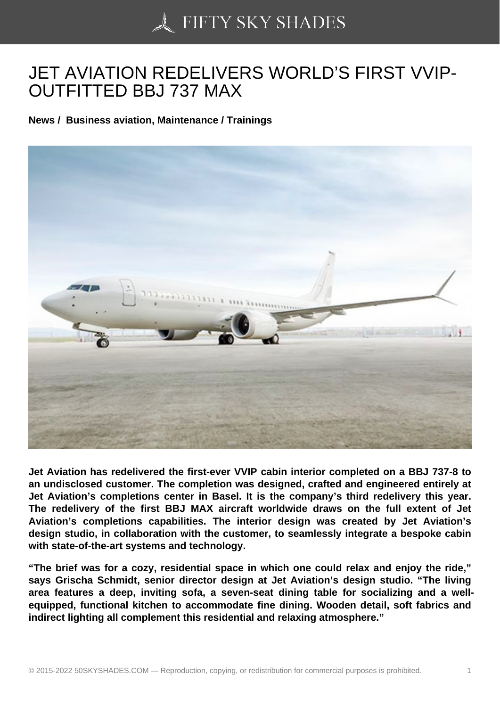## [JET AVIATION REDEL](https://50skyshades.com)IVERS WORLD'S FIRST VVIP-OUTFITTED BBJ 737 MAX

News / Business aviation, Maintenance / Trainings

Jet Aviation has redelivered the first-ever VVIP cabin interior completed on a BBJ 737-8 to an undisclosed customer. The completion was designed, crafted and engineered entirely at Jet Aviation's completions center in Basel. It is the company's third redelivery this year. The redelivery of the first BBJ MAX aircraft worldwide draws on the full extent of Jet Aviation's completions capabilities. The interior design was created by Jet Aviation's design studio, in collaboration with the customer, to seamlessly integrate a bespoke cabin with state-of-the-art systems and technology.

"The brief was for a cozy, residential space in which one could relax and enjoy the ride," says Grischa Schmidt, senior director design at Jet Aviation's design studio. "The living area features a deep, inviting sofa, a seven-seat dining table for socializing and a wellequipped, functional kitchen to accommodate fine dining. Wooden detail, soft fabrics and indirect lighting all complement this residential and relaxing atmosphere."